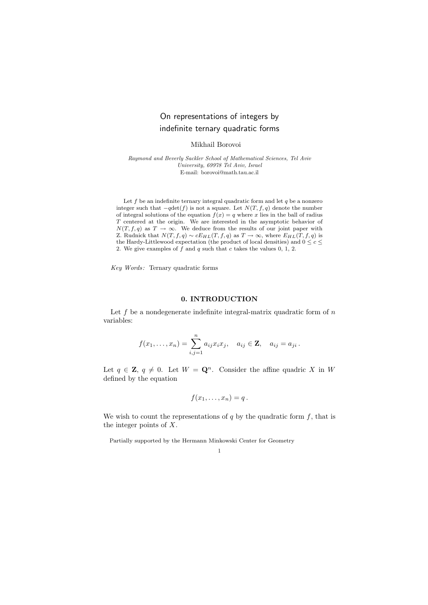# On representations of integers by indefinite ternary quadratic forms

Mikhail Borovoi

Raymond and Beverly Sackler School of Mathematical Sciences, Tel Aviv University, 69978 Tel Aviv, Israel E-mail: borovoi@math.tau.ac.il

Let  $f$  be an indefinite ternary integral quadratic form and let  $q$  be a nonzero integer such that  $-q \det(f)$  is not a square. Let  $N(T, f, q)$  denote the number of integral solutions of the equation  $f(x) = q$  where x lies in the ball of radius T centered at the origin. We are interested in the asymptotic behavior of  $N(T, f, q)$  as  $T \to \infty$ . We deduce from the results of our joint paper with Z. Rudnick that  $N(T, f, q) \sim cE_{HL}(T, f, q)$  as  $T \to \infty$ , where  $E_{HL}(T, f, q)$  is the Hardy-Littlewood expectation (the product of local densities) and  $0 \leq c \leq$ 2. We give examples of  $\hat{f}$  and  $q$  such that  $c$  takes the values 0, 1, 2.

 $Key Words:$  Ternary quadratic forms

## 0. INTRODUCTION

Let  $f$  be a nondegenerate indefinite integral-matrix quadratic form of  $n$ variables:

$$
f(x_1,\ldots,x_n)=\sum_{i,j=1}^n a_{ij}x_ix_j, \quad a_{ij}\in \mathbf{Z}, \quad a_{ij}=a_{ji}.
$$

Let  $q \in \mathbb{Z}$ ,  $q \neq 0$ . Let  $W = \mathbf{Q}^n$ . Consider the affine quadric X in W defined by the equation

$$
f(x_1,\ldots,x_n)=q.
$$

We wish to count the representations of  $q$  by the quadratic form  $f$ , that is the integer points of X.

Partially supported by the Hermann Minkowski Center for Geometry

1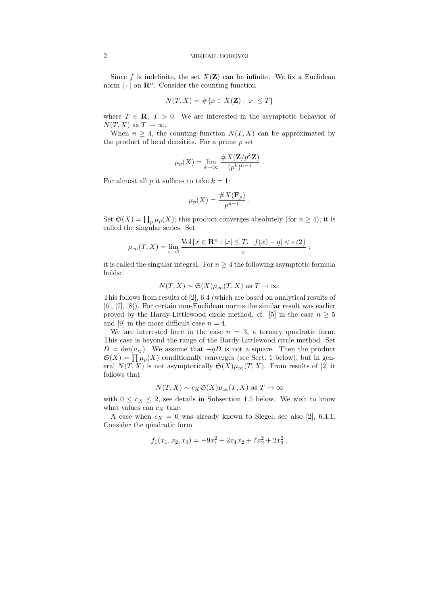### 2 MIKHAIL BOROVOI

Since f is indefinite, the set  $X(\mathbf{Z})$  can be infinite. We fix a Euclidean norm  $|\cdot|$  on  $\mathbb{R}^n$ . Consider the counting function

$$
N(T, X) = \# \{ x \in X(\mathbf{Z}) : |x| \le T \}
$$

where  $T \in \mathbf{R}, T > 0$ . We are interested in the asymptotic behavior of  $N(T, X)$  as  $T \to \infty$ .

When  $n \geq 4$ , the counting function  $N(T, X)$  can be approximated by the product of local densities. For a prime  $p$  set

$$
\mu_p(X) = \lim_{k \to \infty} \frac{\#X(\mathbf{Z}/p^k \mathbf{Z})}{(p^k)^{n-1}}.
$$

For almost all  $p$  it suffices to take  $k = 1$ :

$$
\mu_p(X) = \frac{\#X(\mathbf{F}_p)}{p^{n-1}}
$$

.

Set  $\mathfrak{S}(X) = \prod_p \mu_p(X)$ ; this product converges absolutely (for  $n \geq 4$ ); it is called the singular series. Set

$$
\mu_{\infty}(T, X) = \lim_{\varepsilon \to 0} \frac{\text{Vol}\{x \in \mathbf{R}^n : |x| \le T, \ |f(x) - q| < \varepsilon/2\}}{\varepsilon} ;
$$

it is called the singular integral. For  $n \geq 4$  the following asymptotic formula holds:

$$
N(T, X) \sim \mathfrak{S}(X)\mu_{\infty}(T, X)
$$
 as  $T \to \infty$ .

This follows from results of [2], 6.4 (which are based on analytical results of [6], [7], [8]). For certain non-Euclidean norms the similar result was earlier proved by the Hardy-Littlewood circle method, cf. [5] in the case  $n \geq 5$ and [9] in the more difficult case  $n = 4$ .

We are interested here in the case  $n = 3$ , a ternary quadratic form. This case is beyond the range of the Hardy-Littlewood circle method. Set  $D = det(a_{ij})$ . We assume that  $-qD$  is not a square. Then the product  $\mathfrak{S}(X) = \prod \mu_p(X)$  conditionally converges (see Sect. 1 below), but in general  $N(T, X)$  is not asymptotically  $\mathfrak{S}(X)\mu_{\infty}(T, X)$ . From results of [2] it follows that

$$
N(T, X) \sim c_X \mathfrak{S}(X) \mu_\infty(T, X)
$$
 as  $T \to \infty$ 

with  $0 \leq c_X \leq 2$ , see details in Subsection 1.5 below. We wish to know what values can  $c_X$  take.

A case when  $c_X = 0$  was already known to Siegel, see also [2], 6.4.1. Consider the quadratic form

$$
f_1(x_1, x_2, x_3) = -9x_1^2 + 2x_1x_2 + 7x_2^2 + 2x_3^2,
$$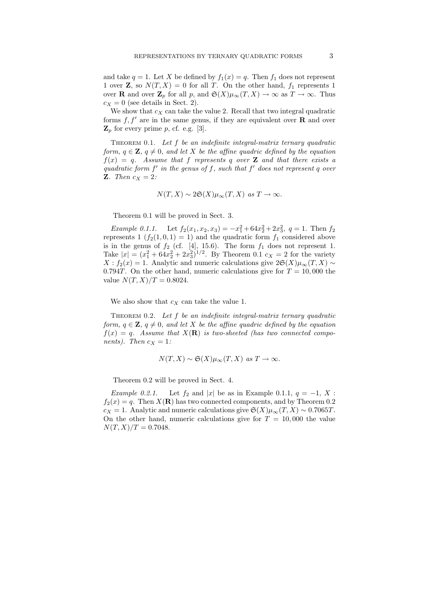and take  $q = 1$ . Let X be defined by  $f_1(x) = q$ . Then  $f_1$  does not represent 1 over **Z**, so  $N(T, X) = 0$  for all T. On the other hand,  $f_1$  represents 1 over **R** and over  $\mathbf{Z}_p$  for all p, and  $\mathfrak{S}(X)\mu_\infty(T,X) \to \infty$  as  $T \to \infty$ . Thus  $c_X = 0$  (see details in Sect. 2).

We show that  $c_X$  can take the value 2. Recall that two integral quadratic forms  $f, f'$  are in the same genus, if they are equivalent over **R** and over  $\mathbf{Z}_p$  for every prime p, cf. e.g. [3].

THEOREM 0.1. Let  $f$  be an indefinite integral-matrix ternary quadratic form,  $q \in \mathbf{Z}$ ,  $q \neq 0$ , and let X be the affine quadric defined by the equation  $f(x) = q$ . Assume that f represents q over **Z** and that there exists a quadratic form  $f'$  in the genus of  $f$ , such that  $f'$  does not represent  $q$  over **Z**. Then  $c_X = 2$ :

$$
N(T, X) \sim 2\mathfrak{S}(X)\mu_{\infty}(T, X)
$$
 as  $T \to \infty$ .

Theorem 0.1 will be proved in Sect. 3.

Example 0.1.1. Let  $f_2(x_1, x_2, x_3) = -x_1^2 + 64x_2^2 + 2x_3^2$ ,  $q = 1$ . Then  $f_2$ represents  $1(f_2(1, 0, 1) = 1)$  and the quadratic form  $f_1$  considered above is in the genus of  $f_2$  (cf. [4], 15.6). The form  $f_1$  does not represent 1. Take  $|x| = (x_1^2 + 64x_2^2 + 2x_3^2)^{1/2}$ . By Theorem 0.1  $c_X = 2$  for the variety  $X$ :  $f_2(x) = 1$ . Analytic and numeric calculations give  $2\mathfrak{S}(X)\mu_\infty(T, X) \sim$ 0.794T. On the other hand, numeric calculations give for  $T = 10,000$  the value  $N(T, X)/T = 0.8024$ .

We also show that  $c_X$  can take the value 1.

THEOREM 0.2. Let  $f$  be an indefinite integral-matrix ternary quadratic form,  $q \in \mathbf{Z}$ ,  $q \neq 0$ , and let X be the affine quadric defined by the equation  $f(x) = q$ . Assume that  $X(\mathbf{R})$  is two-sheeted (has two connected components). Then  $c_X = 1$ :

$$
N(T, X) \sim \mathfrak{S}(X)\mu_{\infty}(T, X)
$$
 as  $T \to \infty$ .

Theorem 0.2 will be proved in Sect. 4.

Example 0.2.1. Let  $f_2$  and |x| be as in Example 0.1.1,  $q = -1, X$ :  $f_2(x) = q$ . Then  $X(\mathbf{R})$  has two connected components, and by Theorem 0.2  $c_X = 1$ . Analytic and numeric calculations give  $\mathfrak{S}(X)\mu_{\infty}(T, X) \sim 0.7065T$ . On the other hand, numeric calculations give for  $T = 10,000$  the value  $N(T, X)/T = 0.7048.$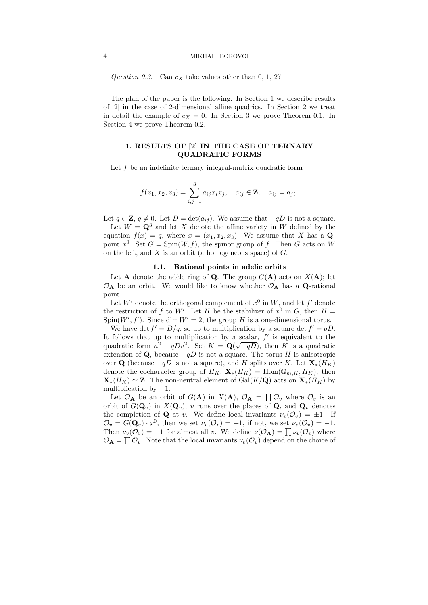#### 4 MIKHAIL BOROVOI

Question 0.3. Can  $c<sub>X</sub>$  take values other than 0, 1, 2?

The plan of the paper is the following. In Section 1 we describe results of [2] in the case of 2-dimensional affine quadrics. In Section 2 we treat in detail the example of  $c_X = 0$ . In Section 3 we prove Theorem 0.1. In Section 4 we prove Theorem 0.2.

## 1. RESULTS OF [2] IN THE CASE OF TERNARY QUADRATIC FORMS

Let f be an indefinite ternary integral-matrix quadratic form

$$
f(x_1, x_2, x_3) = \sum_{i,j=1}^3 a_{ij} x_i x_j, \quad a_{ij} \in \mathbf{Z}, \quad a_{ij} = a_{ji}.
$$

Let  $q \in \mathbf{Z}$ ,  $q \neq 0$ . Let  $D = \det(a_{ij})$ . We assume that  $-qD$  is not a square.

Let  $W = \mathbf{Q}^3$  and let X denote the affine variety in W defined by the equation  $f(x) = q$ , where  $x = (x_1, x_2, x_3)$ . We assume that X has a Qpoint  $x^0$ . Set  $G = Spin(W, f)$ , the spinor group of f. Then G acts on W on the left, and  $X$  is an orbit (a homogeneous space) of  $G$ .

#### 1.1. Rational points in adelic orbits

Let **A** denote the adèle ring of **Q**. The group  $G(A)$  acts on  $X(A)$ ; let  $\mathcal{O}_{\mathbf{A}}$  be an orbit. We would like to know whether  $\mathcal{O}_{\mathbf{A}}$  has a **Q**-rational point.

Let W' denote the orthogonal complement of  $x^0$  in W, and let f' denote the restriction of f to W'. Let H be the stabilizer of  $x^0$  in G, then  $H =$  $Spin(W', f')$ . Since dim  $W' = 2$ , the group H is a one-dimensional torus.

We have det  $f' = D/q$ , so up to multiplication by a square det  $f' = qD$ . It follows that up to multiplication by a scalar,  $f'$  is equivalent to the quadratic form  $u^2 + qDv^2$ . Set  $K = \mathbf{Q}(\sqrt{-qD})$ , then K is a quadratic extension of Q, because  $-qD$  is not a square. The torus H is anisotropic over Q (because  $-qD$  is not a square), and H splits over K. Let  $\mathbf{X}_*(H_K)$ denote the cocharacter group of  $H_K$ ,  $\mathbf{X}_*(H_K) = \text{Hom}(\mathbb{G}_{m,K}, H_K)$ ; then  $\mathbf{X}_{*}(H_K) \simeq \mathbf{Z}$ . The non-neutral element of Gal(K/Q) acts on  $\mathbf{X}_{*}(H_K)$  by multiplication by  $-1$ .

Let  $\mathcal{O}_A$  be an orbit of  $G(A)$  in  $X(A)$ ,  $\mathcal{O}_A = \prod \mathcal{O}_v$  where  $\mathcal{O}_v$  is an orbit of  $G(\mathbf{Q}_v)$  in  $X(\mathbf{Q}_v)$ , v runs over the places of  $\mathbf{Q}_v$ , and  $\mathbf{Q}_v$  denotes the completion of **Q** at v. We define local invariants  $\nu_v(\mathcal{O}_v) = \pm 1$ . If  $\mathcal{O}_v = G(\mathbf{Q}_v) \cdot x^0$ , then we set  $\nu_v(\mathcal{O}_v) = +1$ , if not, we set  $\nu_v(\mathcal{O}_v) = -1$ . Then  $\nu_v(\mathcal{O}_v) = +1$  for almost all v. We define  $\nu(\mathcal{O}_A) = \prod \nu_v(\mathcal{O}_v)$  where  $\mathcal{O}_{\mathbf{A}} = \prod \mathcal{O}_v$ . Note that the local invariants  $\nu_v(\mathcal{O}_v)$  depend on the choice of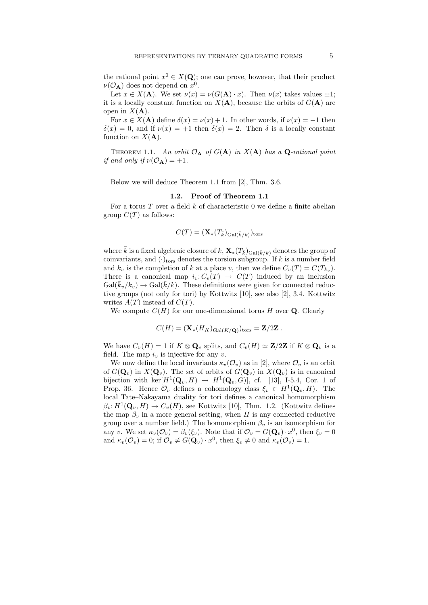the rational point  $x^0 \in X(\mathbf{Q})$ ; one can prove, however, that their product  $\nu(\mathcal{O}_A)$  does not depend on  $x^0$ .

Let  $x \in X(\mathbf{A})$ . We set  $\nu(x) = \nu(G(\mathbf{A}) \cdot x)$ . Then  $\nu(x)$  takes values  $\pm 1$ ; it is a locally constant function on  $X(A)$ , because the orbits of  $G(A)$  are open in  $X(\mathbf{A})$ .

For  $x \in X(A)$  define  $\delta(x) = \nu(x) + 1$ . In other words, if  $\nu(x) = -1$  then  $\delta(x) = 0$ , and if  $\nu(x) = +1$  then  $\delta(x) = 2$ . Then  $\delta$  is a locally constant function on  $X(\mathbf{A})$ .

THEOREM 1.1. An orbit  $\mathcal{O}_A$  of  $G(A)$  in  $X(A)$  has a **Q**-rational point if and only if  $\nu(\mathcal{O}_A) = +1$ .

Below we will deduce Theorem 1.1 from [2], Thm. 3.6.

### 1.2. Proof of Theorem 1.1

For a torus  $T$  over a field  $k$  of characteristic 0 we define a finite abelian group  $C(T)$  as follows:

$$
C(T) = (\mathbf{X}_{*}(T_{\bar{k}})_{\text{Gal}(\bar{k}/k)})_{\text{tors}}
$$

where  $\bar{k}$  is a fixed algebraic closure of k,  $\mathbf{X}_*(T_{\bar{k}})_{\text{Gal}(\bar{k}/k)}$  denotes the group of coinvariants, and  $(\cdot)_{\text{tors}}$  denotes the torsion subgroup. If k is a number field and  $k_v$  is the completion of k at a place v, then we define  $C_v(T) = C(T_{k_v})$ . There is a canonical map  $i_v: C_v(T) \to C(T)$  induced by an inclusion  $Gal(\bar{k}_v/k_v) \rightarrow Gal(\bar{k}/k)$ . These definitions were given for connected reductive groups (not only for tori) by Kottwitz [10], see also [2], 3.4. Kottwitz writes  $A(T)$  instead of  $C(T)$ .

We compute  $C(H)$  for our one-dimensional torus H over Q. Clearly

$$
C(H) = (\mathbf{X}_{*}(H_{K})_{\mathrm{Gal}(K/\mathbf{Q})})_{\mathrm{tors}} = \mathbf{Z}/2\mathbf{Z}.
$$

We have  $C_v(H) = 1$  if  $K \otimes \mathbf{Q}_v$  splits, and  $C_v(H) \simeq \mathbf{Z}/2\mathbf{Z}$  if  $K \otimes \mathbf{Q}_v$  is a field. The map  $i_v$  is injective for any v.

We now define the local invariants  $\kappa_v(\mathcal{O}_v)$  as in [2], where  $\mathcal{O}_v$  is an orbit of  $G(\mathbf{Q}_v)$  in  $X(\mathbf{Q}_v)$ . The set of orbits of  $G(\mathbf{Q}_v)$  in  $X(\mathbf{Q}_v)$  is in canonical bijection with  $\ker[H^1(\mathbf{Q}_v, H) \to H^1(\mathbf{Q}_v, G)]$ , cf. [13], I-5.4, Cor. 1 of Prop. 36. Hence  $\mathcal{O}_v$  defines a cohomology class  $\xi_v \in H^1(\mathbf{Q}_v, H)$ . The local Tate–Nakayama duality for tori defines a canonical homomorphism  $\beta_v: H^1(\mathbf{Q}_v, H) \to C_v(H)$ , see Kottwitz [10], Thm. 1.2. (Kottwitz defines the map  $\beta_v$  in a more general setting, when H is any connected reductive group over a number field.) The homomorphism  $\beta_v$  is an isomorphism for any v. We set  $\kappa_v(\mathcal{O}_v) = \beta_v(\xi_v)$ . Note that if  $\mathcal{O}_v = G(\mathbf{Q}_v) \cdot x^0$ , then  $\xi_v = 0$ and  $\kappa_v(\mathcal{O}_v) = 0$ ; if  $\mathcal{O}_v \neq G(\mathbf{Q}_v) \cdot x^0$ , then  $\xi_v \neq 0$  and  $\kappa_v(\mathcal{O}_v) = 1$ .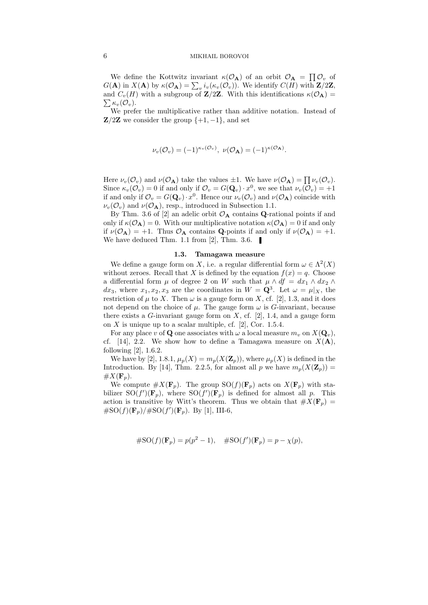## 6 MIKHAIL BOROVOI

We define the Kottwitz invariant  $\kappa(\mathcal{O}_A)$  of an orbit  $\mathcal{O}_A = \prod \mathcal{O}_v$  of  $G(\mathbf{A})$  in  $X(\mathbf{A})$  by  $\kappa(\mathcal{O}_{\mathbf{A}}) = \sum_{v} i_v(\kappa_v(\mathcal{O}_v))$ . We identify  $C(H)$  with  $\mathbf{Z}/2\mathbf{Z}$ ,  $\sum \kappa_v(\mathcal{O}_v).$ and  $C_v(H)$  with a subgroup of **Z**/2**Z**. With this identifications  $\kappa(\mathcal{O}_A)$  =

We prefer the multiplicative rather than additive notation. Instead of **Z/2Z** we consider the group  $\{+1, -1\}$ , and set

$$
\nu_v(\mathcal{O}_v) = (-1)^{\kappa_v(\mathcal{O}_v)}, \ \nu(\mathcal{O}_A) = (-1)^{\kappa(\mathcal{O}_A)}.
$$

Here  $\nu_v(\mathcal{O}_v)$  and  $\nu(\mathcal{O}_A)$  take the values  $\pm 1$ . We have  $\nu(\mathcal{O}_A) = \prod \nu_v(\mathcal{O}_v)$ . Since  $\kappa_v(\mathcal{O}_v) = 0$  if and only if  $\mathcal{O}_v = G(\mathbf{Q}_v) \cdot x^0$ , we see that  $\nu_v(\mathcal{O}_v) = +1$ if and only if  $\mathcal{O}_v = G(\mathbf{Q}_v) \cdot x^0$ . Hence our  $\nu_v(\mathcal{O}_v)$  and  $\nu(\mathcal{O}_\mathbf{A})$  coincide with  $\nu_v(\mathcal{O}_v)$  and  $\nu(\mathcal{O}_A)$ , resp., introduced in Subsection 1.1.

By Thm. 3.6 of [2] an adelic orbit  $\mathcal{O}_A$  contains **Q**-rational points if and only if  $\kappa(\mathcal{O}_A) = 0$ . With our multiplicative notation  $\kappa(\mathcal{O}_A) = 0$  if and only if  $\nu(\mathcal{O}_A) = +1$ . Thus  $\mathcal{O}_A$  contains **Q**-points if and only if  $\nu(\mathcal{O}_A) = +1$ . We have deduced Thm. 1.1 from [2], Thm. 3.6.

## 1.3. Tamagawa measure

We define a gauge form on X, i.e. a regular differential form  $\omega \in \Lambda^2(X)$ without zeroes. Recall that X is defined by the equation  $f(x) = q$ . Choose a differential form  $\mu$  of degree 2 on W such that  $\mu \wedge df = dx_1 \wedge dx_2 \wedge dx_3$  $dx_3$ , where  $x_1, x_2, x_3$  are the coordinates in  $W = \mathbf{Q}^3$ . Let  $\omega = \mu|_X$ , the restriction of  $\mu$  to X. Then  $\omega$  is a gauge form on X, cf. [2], 1.3, and it does not depend on the choice of  $\mu$ . The gauge form  $\omega$  is G-invariant, because there exists a G-invariant gauge form on  $X$ , cf. [2], 1.4, and a gauge form on  $X$  is unique up to a scalar multiple, cf. [2], Cor. 1.5.4.

For any place v of **Q** one associates with  $\omega$  a local measure  $m_v$  on  $X(\mathbf{Q}_v)$ , cf. [14], 2.2. We show how to define a Tamagawa measure on  $X(\mathbf{A})$ , following [2], 1.6.2.

We have by [2], 1.8.1,  $\mu_p(X) = m_p(X(\mathbf{Z}_p))$ , where  $\mu_p(X)$  is defined in the Introduction. By [14], Thm. 2.2.5, for almost all p we have  $m_p(X(\mathbf{Z}_p)) =$  $\#X(\mathbf{F}_p).$ 

We compute  $\#X(\mathbf{F}_p)$ . The group  $\mathrm{SO}(f)(\mathbf{F}_p)$  acts on  $X(\mathbf{F}_p)$  with stabilizer  $\mathrm{SO}(f')(\mathbf{F}_p)$ , where  $\mathrm{SO}(f')(\mathbf{F}_p)$  is defined for almost all p. This action is transitive by Witt's theorem. Thus we obtain that  $#X(\mathbf{F}_p) =$  $\#SO(f)(\mathbf{F}_p)/\#SO(f')(\mathbf{F}_p)$ . By [1], III-6,

$$
#SO(f)(\mathbf{F}_p) = p(p^2 - 1), \quad #SO(f')(\mathbf{F}_p) = p - \chi(p),
$$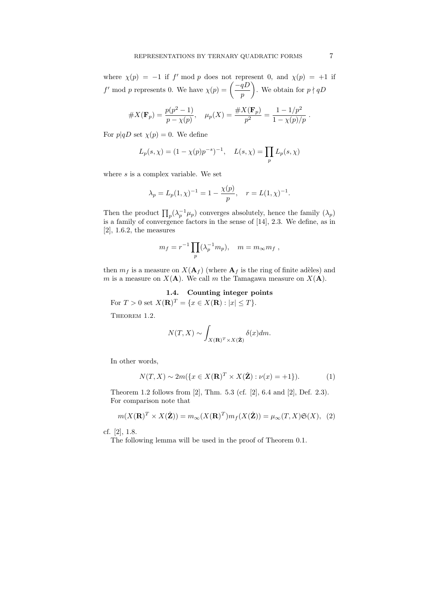where  $\chi(p) = -1$  if f' mod p does not represent 0, and  $\chi(p) = +1$  if f' mod p represents 0. We have  $\chi(p) = \frac{-qD}{p}$ p ). We obtain for  $p \nmid qD$ 

$$
#X(\mathbf{F}_p) = \frac{p(p^2 - 1)}{p - \chi(p)}, \quad \mu_p(X) = \frac{\#X(\mathbf{F}_p)}{p^2} = \frac{1 - 1/p^2}{1 - \chi(p)/p}.
$$

For  $p|qD$  set  $\chi(p) = 0$ . We define

$$
L_p(s, \chi) = (1 - \chi(p)p^{-s})^{-1}, \quad L(s, \chi) = \prod_p L_p(s, \chi)
$$

where  $s$  is a complex variable. We set

$$
\lambda_p = L_p(1, \chi)^{-1} = 1 - \frac{\chi(p)}{p}, \quad r = L(1, \chi)^{-1}.
$$

Then the product  $\prod_p (\lambda_p^{-1} \mu_p)$  converges absolutely, hence the family  $(\lambda_p)$ is a family of convergence factors in the sense of [14], 2.3. We define, as in  $[2]$ , 1.6.2, the measures

$$
m_f = r^{-1} \prod_p (\lambda_p^{-1} m_p), \quad m = m_\infty m_f ,
$$

then  $m_f$  is a measure on  $X(\mathbf{A}_f)$  (where  $\mathbf{A}_f$  is the ring of finite adèles) and m is a measure on  $X(\mathbf{A})$ . We call m the Tamagawa measure on  $X(\mathbf{A})$ .

## 1.4. Counting integer points

For  $T > 0$  set  $X(\mathbf{R})^T = \{x \in X(\mathbf{R}) : |x| \le T\}.$ 

THEOREM 1.2.

$$
N(T, X) \sim \int_{X(\mathbf{R})^T \times X(\hat{\mathbf{Z}})} \delta(x) dm.
$$

In other words,

$$
N(T, X) \sim 2m(\lbrace x \in X(\mathbf{R})^T \times X(\hat{\mathbf{Z}}) : \nu(x) = +1 \rbrace).
$$
 (1)

Theorem 1.2 follows from [2], Thm. 5.3 (cf. [2], 6.4 and [2], Def. 2.3). For comparison note that

$$
m(X(\mathbf{R})^T \times X(\hat{\mathbf{Z}})) = m_{\infty}(X(\mathbf{R})^T) m_f(X(\hat{\mathbf{Z}})) = \mu_{\infty}(T, X) \mathfrak{S}(X), \tag{2}
$$

cf. [2], 1.8.

The following lemma will be used in the proof of Theorem 0.1.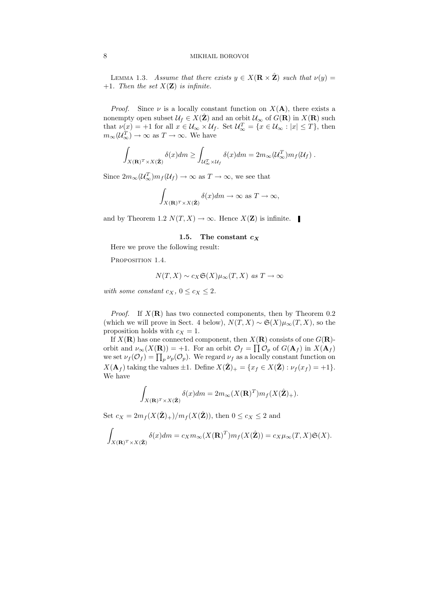LEMMA 1.3. Assume that there exists  $y \in X(\mathbf{R} \times \hat{\mathbf{Z}})$  such that  $\nu(y) =$ +1. Then the set  $X(\mathbf{Z})$  is infinite.

*Proof.* Since  $\nu$  is a locally constant function on  $X(A)$ , there exists a nonempty open subset  $\mathcal{U}_f \in X(\hat{\mathbf{Z}})$  and an orbit  $\mathcal{U}_{\infty}$  of  $G(\mathbf{R})$  in  $X(\mathbf{R})$  such that  $\nu(x) = +1$  for all  $x \in \mathcal{U}_{\infty} \times \mathcal{U}_{f}$ . Set  $\mathcal{U}_{\infty}^{T} = \{x \in \mathcal{U}_{\infty} : |x| \leq T\}$ , then  $m_{\infty}(\mathcal{U}_{\infty}^T) \to \infty$  as  $T \to \infty$ . We have

$$
\int_{X(\mathbf{R})^T \times X(\hat{\mathbf{Z}})} \delta(x) dm \ge \int_{\mathcal{U}_{\infty}^T \times \mathcal{U}_f} \delta(x) dm = 2m_{\infty}(\mathcal{U}_{\infty}^T)m_f(\mathcal{U}_f).
$$

Since  $2m_{\infty}(\mathcal{U}_{\infty}^T)m_f(\mathcal{U}_f) \to \infty$  as  $T \to \infty$ , we see that

$$
\int_{X(\mathbf{R})^T \times X(\hat{\mathbf{Z}})} \delta(x) dm \to \infty \text{ as } T \to \infty,
$$

and by Theorem 1.2  $N(T, X) \to \infty$ . Hence  $X(\mathbf{Z})$  is infinite.

### 1.5. The constant  $c_X$

Here we prove the following result:

PROPOSITION 1.4.

$$
N(T, X) \sim c_X \mathfrak{S}(X) \mu_\infty(T, X) \text{ as } T \to \infty
$$

with some constant  $c_X$ ,  $0 \leq c_X \leq 2$ .

*Proof.* If  $X(\mathbf{R})$  has two connected components, then by Theorem 0.2 (which we will prove in Sect. 4 below),  $N(T, X) \sim \mathfrak{S}(X) \mu_{\infty}(T, X)$ , so the proposition holds with  $c_X = 1$ .

If  $X(\mathbf{R})$  has one connected component, then  $X(\mathbf{R})$  consists of one  $G(\mathbf{R})$ orbit and  $\nu_{\infty}(X(\mathbf{R})) = +1$ . For an orbit  $\mathcal{O}_f = \prod \mathcal{O}_p$  of  $G(\mathbf{A}_f)$  in  $X(\mathbf{A}_f)$ we set  $\nu_f(\mathcal{O}_f) = \prod_p \nu_p(\mathcal{O}_p)$ . We regard  $\nu_f$  as a locally constant function on  $X(\mathbf{A}_f)$  taking the values  $\pm 1$ . Define  $X(\hat{\mathbf{Z}})_+ = \{x_f \in X(\hat{\mathbf{Z}}): \nu_f(x_f) = +1\}.$ We have

$$
\int_{X(\mathbf{R})^T \times X(\hat{\mathbf{Z}})} \delta(x) dm = 2m_{\infty}(X(\mathbf{R})^T) m_f(X(\hat{\mathbf{Z}})_+).
$$

Set  $c_X = 2m_f(X(\hat{\mathbf{Z}})_+)/m_f(X(\hat{\mathbf{Z}}))$ , then  $0 \leq c_X \leq 2$  and

$$
\int_{X(\mathbf{R})^T \times X(\hat{\mathbf{Z}})} \delta(x) dm = c_X m_{\infty}(X(\mathbf{R})^T) m_f(X(\hat{\mathbf{Z}})) = c_X \mu_{\infty}(T, X) \mathfrak{S}(X).
$$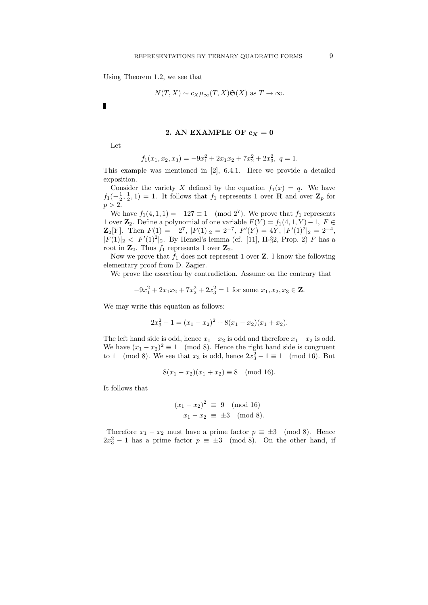Using Theorem 1.2, we see that

$$
N(T, X) \sim c_X \mu_{\infty}(T, X) \mathfrak{S}(X)
$$
 as  $T \to \infty$ .

 $\blacksquare$ 

## 2. AN EXAMPLE OF  $c_X = 0$

Let

$$
f_1(x_1, x_2, x_3) = -9x_1^2 + 2x_1x_2 + 7x_2^2 + 2x_3^2, \ q = 1.
$$

This example was mentioned in [2], 6.4.1. Here we provide a detailed exposition.

Consider the variety X defined by the equation  $f_1(x) = q$ . We have  $f_1(-\frac{1}{2},\frac{1}{2},1) = 1$ . It follows that  $f_1$  represents 1 over **R** and over **Z**<sub>p</sub> for  $p > 2$ .

We have  $f_1(4, 1, 1) = -127 \equiv 1 \pmod{2^7}$ . We prove that  $f_1$  represents 1 over  $\mathbf{Z}_2$ . Define a polynomial of one variable  $F(Y) = f_1(4, 1, Y) - 1$ ,  $F ∈$  $\mathbf{Z}_2[Y]$ . Then  $F(1) = -2^7$ ,  $|F(1)|_2 = 2^{-7}$ ,  $F'(Y) = 4Y$ ,  $|F'(1)|_2 = 2^{-4}$ ,  $|F(1)|_2 < |F'(1)|_2$ . By Hensel's lemma (cf. [11], II-§2, Prop. 2) F has a root in  $\mathbf{Z}_2$ . Thus  $f_1$  represents 1 over  $\mathbf{Z}_2$ .

Now we prove that  $f_1$  does not represent 1 over **Z**. I know the following elementary proof from D. Zagier.

We prove the assertion by contradiction. Assume on the contrary that

$$
-9x_1^2 + 2x_1x_2 + 7x_2^2 + 2x_3^2 = 1
$$
 for some  $x_1, x_2, x_3 \in \mathbf{Z}$ .

We may write this equation as follows:

$$
2x_3^2 - 1 = (x_1 - x_2)^2 + 8(x_1 - x_2)(x_1 + x_2).
$$

The left hand side is odd, hence  $x_1 - x_2$  is odd and therefore  $x_1 + x_2$  is odd. We have  $(x_1 - x_2)^2 \equiv 1 \pmod{8}$ . Hence the right hand side is congruent to 1 (mod 8). We see that  $x_3$  is odd, hence  $2x_3^2 - 1 \equiv 1 \pmod{16}$ . But

$$
8(x_1 - x_2)(x_1 + x_2) \equiv 8 \pmod{16}.
$$

It follows that

$$
(x_1 - x_2)^2 \equiv 9 \pmod{16}
$$
  
 $x_1 - x_2 \equiv \pm 3 \pmod{8}.$ 

Therefore  $x_1 - x_2$  must have a prime factor  $p \equiv \pm 3 \pmod{8}$ . Hence  $2x_3^2 - 1$  has a prime factor  $p \equiv \pm 3 \pmod{8}$ . On the other hand, if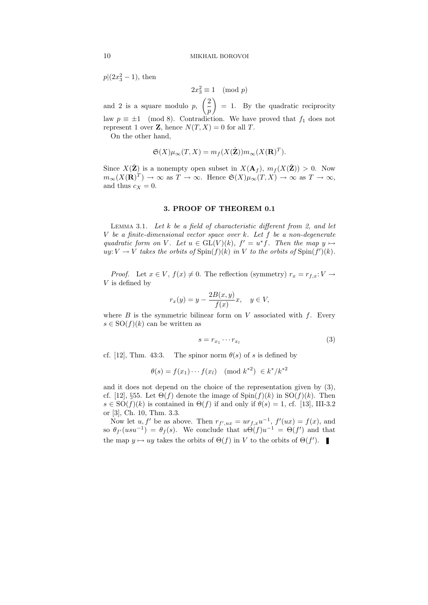$p|(2x_3^2-1)$ , then

$$
2x_3^2 \equiv 1 \pmod{p}
$$

and 2 is a square modulo  $p, \ \left( \frac{2}{n} \right)$ p  $= 1$ . By the quadratic reciprocity law  $p \equiv \pm 1 \pmod{8}$ . Contradiction. We have proved that  $f_1$  does not represent 1 over **Z**, hence  $N(T, X) = 0$  for all T.

On the other hand,

$$
\mathfrak{S}(X)\mu_{\infty}(T, X) = m_f(X(\hat{\mathbf{Z}}))m_{\infty}(X(\mathbf{R})^T).
$$

Since  $X(\hat{\mathbf{Z}})$  is a nonempty open subset in  $X(\mathbf{A}_f), m_f (X(\hat{\mathbf{Z}})) > 0$ . Now  $m_{\infty}(X(\mathbf{R})^T) \to \infty$  as  $T \to \infty$ . Hence  $\mathfrak{S}(X)\mu_{\infty}(T, X) \to \infty$  as  $T \to \infty$ , and thus  $c_X = 0$ .

## 3. PROOF OF THEOREM 0.1

LEMMA 3.1. Let  $k$  be a field of characteristic different from 2, and let  $V$  be a finite-dimensional vector space over  $k$ . Let  $f$  be a non-degenerate quadratic form on V. Let  $u \in GL(V)(k)$ ,  $f' = u^*f$ . Then the map  $y \mapsto$  $uy: V \to V$  takes the orbits of  $\text{Spin}(f)(k)$  in V to the orbits of  $\text{Spin}(f')(k)$ .

*Proof.* Let  $x \in V$ ,  $f(x) \neq 0$ . The reflection (symmetry)  $r_x = r_{f.x}: V \rightarrow$ V is defined by

$$
r_x(y) = y - \frac{2B(x, y)}{f(x)}x, \quad y \in V,
$$

where  $B$  is the symmetric bilinear form on  $V$  associated with  $f$ . Every  $s \in SO(f)(k)$  can be written as

$$
s = r_{x_1} \cdots r_{x_l} \tag{3}
$$

cf. [12], Thm. 43:3. The spinor norm  $\theta(s)$  of s is defined by

$$
\theta(s) = f(x_1) \cdots f(x_l) \pmod{k^{*2}} \in k^*/k^{*2}
$$

and it does not depend on the choice of the representation given by (3), cf. [12], §55. Let  $\Theta(f)$  denote the image of  $\text{Spin}(f)(k)$  in  $\text{SO}(f)(k)$ . Then  $s \in SO(f)(k)$  is contained in  $\Theta(f)$  if and only if  $\theta(s) = 1$ , cf. [13], III-3.2 or [3], Ch. 10, Thm. 3.3.

Now let  $u, f'$  be as above. Then  $r_{f',ux} = ur_{f,x}u^{-1}$ ,  $f'(ux) = f(x)$ , and so  $\theta_{f'}(usu^{-1}) = \theta_f(s)$ . We conclude that  $u\Theta(f)u^{-1} = \Theta(f')$  and that the map  $y \mapsto uy$  takes the orbits of  $\Theta(f)$  in V to the orbits of  $\Theta(f')$ .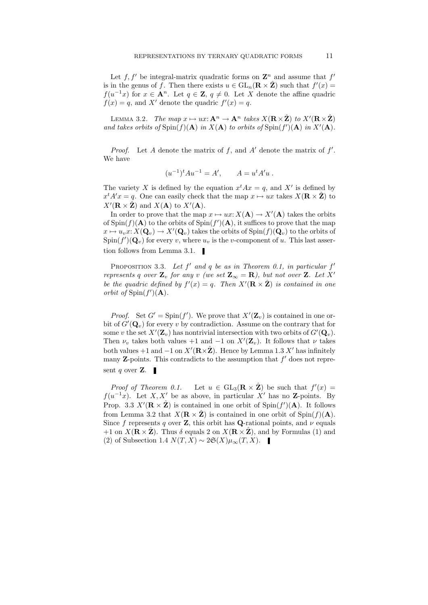Let  $f, f'$  be integral-matrix quadratic forms on  $\mathbb{Z}^n$  and assume that  $f'$ is in the genus of f. Then there exists  $u \in GL_n(\mathbf{R} \times \hat{\mathbf{Z}})$  such that  $f'(x) =$  $f(u^{-1}x)$  for  $x \in \mathbf{A}^n$ . Let  $q \in \mathbf{Z}$ ,  $q \neq 0$ . Let X denote the affine quadric  $f(x) = q$ , and X' denote the quadric  $f'(x) = q$ .

LEMMA 3.2. The map  $x \mapsto ux: \mathbf{A}^n \to \mathbf{A}^n$  takes  $X(\mathbf{R}\times \hat{\mathbf{Z}})$  to  $X'(\mathbf{R}\times \hat{\mathbf{Z}})$ and takes orbits of  $\text{Spin}(f)(\mathbf{A})$  in  $X(\mathbf{A})$  to orbits of  $\text{Spin}(f')(\mathbf{A})$  in  $X'(\mathbf{A})$ .

*Proof.* Let A denote the matrix of f, and A' denote the matrix of  $f'$ . We have

$$
(u^{-1})^t A u^{-1} = A', \qquad A = u^t A' u .
$$

The variety X is defined by the equation  $x^t A x = q$ , and X' is defined by  $x^t A'x = q$ . One can easily check that the map  $x \mapsto ux$  takes  $X(\mathbf{R} \times \hat{\mathbf{Z}})$  to  $X'(\mathbf{R} \times \hat{\mathbf{Z}})$  and  $X(\mathbf{A})$  to  $X'(\mathbf{A})$ .

In order to prove that the map  $x \mapsto ux: X(\mathbf{A}) \to X'(\mathbf{A})$  takes the orbits of  $\text{Spin}(f)(\mathbf{A})$  to the orbits of  $\text{Spin}(f')(\mathbf{A})$ , it suffices to prove that the map  $x \mapsto u_v x: X(\mathbf{Q}_v) \to X'(\mathbf{Q}_v)$  takes the orbits of  $\text{Spin}(f)(\mathbf{Q}_v)$  to the orbits of  $\text{Spin}(f')(\mathbf{Q}_v)$  for every v, where  $u_v$  is the v-component of u. This last assertion follows from Lemma 3.1.

PROPOSITION 3.3. Let  $f'$  and  $q$  be as in Theorem 0.1, in particular  $f'$ represents q over  $\mathbf{Z}_v$  for any v (we set  $\mathbf{Z}_\infty = \mathbf{R}$ ), but not over  $\mathbf{Z}$ . Let  $X'$ be the quadric defined by  $f'(x) = q$ . Then  $X'(\mathbf{R} \times \hat{\mathbf{Z}})$  is contained in one orbit of  $\text{Spin}(f')(\mathbf{A})$ .

*Proof.* Set  $G' = Spin(f')$ . We prove that  $X'(\mathbf{Z}_v)$  is contained in one orbit of  $G'(\mathbf{Q}_v)$  for every v by contradiction. Assume on the contrary that for some v the set  $X'(\mathbf{Z}_v)$  has nontrivial intersection with two orbits of  $G'(\mathbf{Q}_v)$ . Then  $\nu_v$  takes both values +1 and -1 on  $X'(\mathbf{Z}_v)$ . It follows that  $\nu$  takes both values +1 and -1 on  $X'(\mathbf{R}\times\hat{\mathbf{Z}})$ . Hence by Lemma 1.3  $X'$  has infinitely many  $Z$ -points. This contradicts to the assumption that  $f'$  does not represent q over **Z**.  $\blacksquare$ 

Proof of Theorem 0.1. Let  $u \in GL_3(\mathbf{R} \times \hat{\mathbf{Z}})$  be such that  $f'(x) =$  $f(u^{-1}x)$ . Let X, X' be as above, in particular X' has no Z-points. By Prop. 3.3  $X'(\mathbf{R} \times \hat{\mathbf{Z}})$  is contained in one orbit of  $\text{Spin}(f')(\mathbf{A})$ . It follows from Lemma 3.2 that  $X(\mathbf{R} \times \hat{\mathbf{Z}})$  is contained in one orbit of Spin(f)(A). Since f represents q over **Z**, this orbit has **Q**-rational points, and  $\nu$  equals +1 on  $X(\mathbf{R} \times \hat{\mathbf{Z}})$ . Thus  $\delta$  equals 2 on  $X(\mathbf{R} \times \hat{\mathbf{Z}})$ , and by Formulas (1) and (2) of Subsection 1.4  $N(T, X) \sim 2\mathfrak{S}(X)\mu_{\infty}(T, X)$ . ■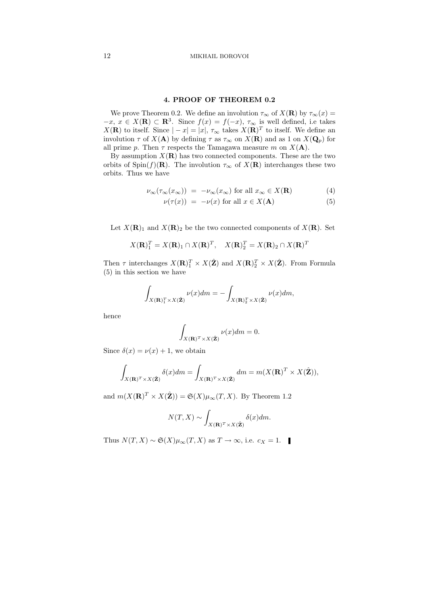## 4. PROOF OF THEOREM 0.2

We prove Theorem 0.2. We define an involution  $\tau_{\infty}$  of  $X(\mathbf{R})$  by  $\tau_{\infty}(x) =$  $-x, x \in X(\mathbf{R}) \subset \mathbf{R}^3$ . Since  $f(x) = f(-x), \tau_{\infty}$  is well defined, i.e takes  $X(\mathbf{R})$  to itself. Since  $|-x|=|x|, \tau_{\infty}$  takes  $X(\mathbf{R})^T$  to itself. We define an involution  $\tau$  of  $X(\mathbf{A})$  by defining  $\tau$  as  $\tau_{\infty}$  on  $X(\mathbf{R})$  and as 1 on  $X(\mathbf{Q}_p)$  for all prime p. Then  $\tau$  respects the Tamagawa measure m on  $X(\mathbf{A})$ .

By assumption  $X(\mathbf{R})$  has two connected components. These are the two orbits of Spin(f)(R). The involution  $\tau_{\infty}$  of  $X(\mathbf{R})$  interchanges these two orbits. Thus we have

$$
\nu_{\infty}(\tau_{\infty}(x_{\infty})) = -\nu_{\infty}(x_{\infty}) \text{ for all } x_{\infty} \in X(\mathbf{R}) \tag{4}
$$

$$
\nu(\tau(x)) = -\nu(x) \text{ for all } x \in X(\mathbf{A}) \tag{5}
$$

Let  $X(\mathbf{R})_1$  and  $X(\mathbf{R})_2$  be the two connected components of  $X(\mathbf{R})$ . Set

$$
X(\mathbf{R})_1^T = X(\mathbf{R})_1 \cap X(\mathbf{R})^T, \quad X(\mathbf{R})_2^T = X(\mathbf{R})_2 \cap X(\mathbf{R})^T
$$

Then  $\tau$  interchanges  $X(\mathbf{R})_1^T \times X(\hat{\mathbf{Z}})$  and  $X(\mathbf{R})_2^T \times X(\hat{\mathbf{Z}})$ . From Formula (5) in this section we have

$$
\int_{X(\mathbf{R})_1^T \times X(\hat{\mathbf{Z}})} \nu(x) dm = - \int_{X(\mathbf{R})_2^T \times X(\hat{\mathbf{Z}})} \nu(x) dm,
$$

hence

$$
\int_{X(\mathbf{R})^T \times X(\hat{\mathbf{Z}})} \nu(x) dm = 0.
$$

Since  $\delta(x) = \nu(x) + 1$ , we obtain

$$
\int_{X(\mathbf{R})^T \times X(\hat{\mathbf{Z}})} \delta(x) dm = \int_{X(\mathbf{R})^T \times X(\hat{\mathbf{Z}})} dm = m(X(\mathbf{R})^T \times X(\hat{\mathbf{Z}})),
$$

and  $m(X(\mathbf{R})^T \times X(\hat{\mathbf{Z}})) = \mathfrak{S}(X)\mu_{\infty}(T, X)$ . By Theorem 1.2

$$
N(T, X) \sim \int_{X(\mathbf{R})^T \times X(\hat{\mathbf{Z}})} \delta(x) dm.
$$

Thus  $N(T, X) \sim \mathfrak{S}(X) \mu_{\infty}(T, X)$  as  $T \to \infty$ , i.e.  $c_X = 1$ .